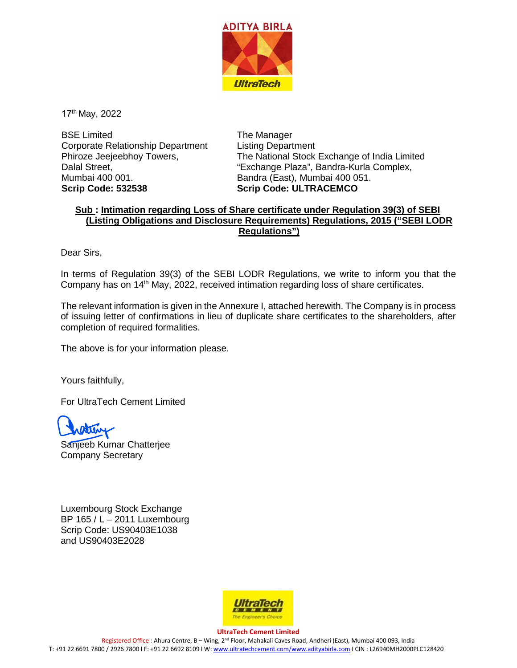

17th May, 2022

BSE Limited Corporate Relationship Department Phiroze Jeejeebhoy Towers, Dalal Street, Mumbai 400 001. **Scrip Code: 532538**

The Manager Listing Department The National Stock Exchange of India Limited "Exchange Plaza", Bandra-Kurla Complex, Bandra (East), Mumbai 400 051. **Scrip Code: ULTRACEMCO**

## **Sub : Intimation regarding Loss of Share certificate under Regulation 39(3) of SEBI (Listing Obligations and Disclosure Requirements) Regulations, 2015 ("SEBI LODR Regulations")**

Dear Sirs,

In terms of Regulation 39(3) of the SEBI LODR Regulations, we write to inform you that the Company has on 14<sup>th</sup> May, 2022, received intimation regarding loss of share certificates.

The relevant information is given in the Annexure I, attached herewith. The Company is in process of issuing letter of confirmations in lieu of duplicate share certificates to the shareholders, after completion of required formalities.

The above is for your information please.

Yours faithfully,

For UltraTech Cement Limited



Sanjeeb Kumar Chatterjee Company Secretary

Luxembourg Stock Exchange BP 165 / L – 2011 Luxembourg Scrip Code: US90403E1038 and US90403E2028



**UltraTech Cement Limited** Registered Office : Ahura Centre, B – Wing, 2nd Floor, Mahakali Caves Road, Andheri (East), Mumbai 400 093, India T: +91 22 6691 7800 / 2926 7800 I F: +91 22 6692 8109 I W[: www.ultratechcement.com/www.adityabirla.com](http://www.ultratechcement.com/www.adityabirla.com) I CIN : L26940MH2000PLC128420